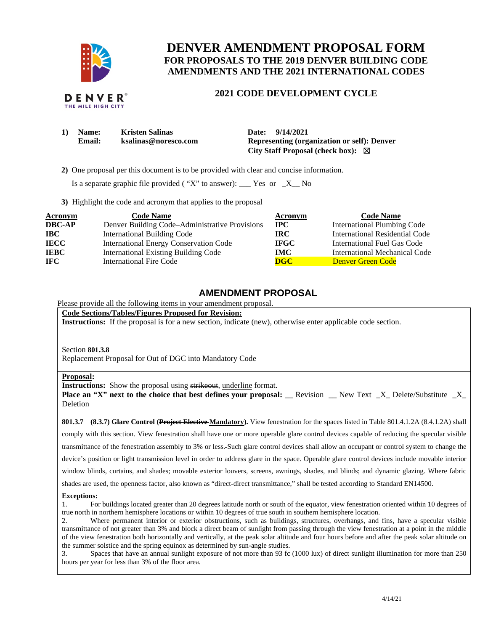

THE MILE HIGH CITY

# **DENVER AMENDMENT PROPOSAL FORM FOR PROPOSALS TO THE 2019 DENVER BUILDING CODE AMENDMENTS AND THE 2021 INTERNATIONAL CODES**

## **2021 CODE DEVELOPMENT CYCLE**

| 1) | <b>Name:</b> | <b>Kristen Salinas</b> | Date: 9/14/2021                                    |
|----|--------------|------------------------|----------------------------------------------------|
|    | Email:       | ksalinas@noresco.com   | <b>Representing (organization or self): Denver</b> |
|    |              |                        | City Staff Proposal (check box): $\boxtimes$       |

 **2)** One proposal per this document is to be provided with clear and concise information.

Is a separate graphic file provided ( "X" to answer): \_\_\_ Yes or  $-X$  No

**3)** Highlight the code and acronym that applies to the proposal

| <b>Acronym</b> | <b>Code Name</b>                               | Acronym                 | <b>Code Name</b>                   |
|----------------|------------------------------------------------|-------------------------|------------------------------------|
| <b>DBC-AP</b>  | Denver Building Code–Administrative Provisions | $_{\rm IPC}$            | <b>International Plumbing Code</b> |
| <b>IBC</b>     | <b>International Building Code</b>             | IRC.                    | International Residential Code     |
| <b>IECC</b>    | <b>International Energy Conservation Code</b>  | <b>IFGC</b>             | International Fuel Gas Code        |
| <b>IEBC</b>    | <b>International Existing Building Code</b>    | <b>IMC</b>              | International Mechanical Code      |
| IFC.           | <b>International Fire Code</b>                 | $\overline{\text{DGC}}$ | <b>Denver Green Code</b>           |

### **AMENDMENT PROPOSAL**

### Please provide all the following items in your amendment proposal.

**Code Sections/Tables/Figures Proposed for Revision:** 

**Instructions:** If the proposal is for a new section, indicate (new), otherwise enter applicable code section.

Section **801.3.8**

Replacement Proposal for Out of DGC into Mandatory Code

#### **Proposal:**

**Instructions:** Show the proposal using strikeout, underline format.

**Place an "X" next to the choice that best defines your proposal:** \_\_ Revision \_\_ New Text \_X\_ Delete/Substitute \_X\_ Deletion

**801.3.7 (8.3.7) Glare Control (Project Elective Mandatory).** View fenestration for the spaces listed in Table 801.4.1.2A (8.4.1.2A) shall comply with this section. View fenestration shall have one or more operable glare control devices capable of reducing the specular visible transmittance of the fenestration assembly to 3% or less. Such glare control devices shall allow an occupant or control system to change the device's position or light transmission level in order to address glare in the space. Operable glare control devices include movable interior window blinds, curtains, and shades; movable exterior louvers, screens, awnings, shades, and blinds; and dynamic glazing. Where fabric shades are used, the openness factor, also known as "direct-direct transmittance," shall be tested according to Standard EN14500.

#### **Exceptions:**

1. For buildings located greater than 20 degrees latitude north or south of the equator, view fenestration oriented within 10 degrees of true north in northern hemisphere locations or within 10 degrees of true south in southern hemisphere location.

2. Where permanent interior or exterior obstructions, such as buildings, structures, overhangs, and fins, have a specular visible transmittance of not greater than 3% and block a direct beam of sunlight from passing through the view fenestration at a point in the middle of the view fenestration both horizontally and vertically, at the peak solar altitude and four hours before and after the peak solar altitude on the summer solstice and the spring equinox as determined by sun-angle studies.

3. Spaces that have an annual sunlight exposure of not more than 93 fc (1000 lux) of direct sunlight illumination for more than 250 hours per year for less than 3% of the floor area.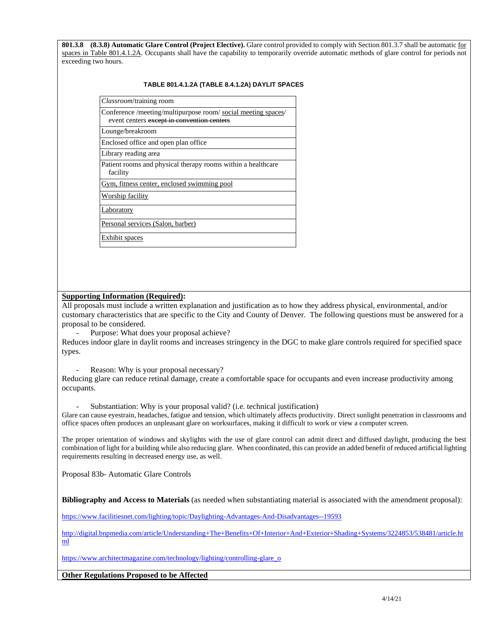**801.3.8 (8.3.8) Automatic Glare Control (Project Elective).** Glare control provided to comply with Section 801.3.7 shall be automatic for spaces in Table 801.4.1.2A. Occupants shall have the capability to temporarily override automatic methods of glare control for periods not exceeding two hours.

#### **TABLE 801.4.1.2A (TABLE 8.4.1.2A) DAYLIT SPACES**

| Classroom/training room                                                                                     |
|-------------------------------------------------------------------------------------------------------------|
| Conference /meeting/multipurpose room/ social meeting spaces/<br>event centers except in convention centers |
| Lounge/breakroom                                                                                            |
| Enclosed office and open plan office.                                                                       |
| Library reading area                                                                                        |
| Patient rooms and physical therapy rooms within a healthcare<br>facility                                    |
| Gym, fitness center, enclosed swimming pool                                                                 |
| Worship facility                                                                                            |
| Laboratory                                                                                                  |
| Personal services (Salon, barber)                                                                           |
| Exhibit spaces                                                                                              |

### **Supporting Information (Required):**

All proposals must include a written explanation and justification as to how they address physical, environmental, and/or customary characteristics that are specific to the City and County of Denver. The following questions must be answered for a proposal to be considered.

Purpose: What does your proposal achieve?

Reduces indoor glare in daylit rooms and increases stringency in the DGC to make glare controls required for specified space types.

Reason: Why is your proposal necessary?

Reducing glare can reduce retinal damage, create a comfortable space for occupants and even increase productivity among occupants.

Substantiation: Why is your proposal valid? (i.e. technical justification)

Glare can cause eyestrain, headaches, fatigue and tension, which ultimately affects productivity. Direct sunlight penetration in classrooms and office spaces often produces an unpleasant glare on worksurfaces, making it difficult to work or view a computer screen.

The proper orientation of windows and skylights with the use of glare control can admit direct and diffused daylight, producing the best combination of light for a building while also reducing glare. When coordinated, this can provide an added benefit of reduced artificial lighting requirements resulting in decreased energy use, as well.

Proposal 83b- Automatic Glare Controls

**Bibliography and Access to Materials** (as needed when substantiating material is associated with the amendment proposal):

<https://www.facilitiesnet.com/lighting/topic/Daylighting-Advantages-And-Disadvantages--19593>

[http://digital.bnpmedia.com/article/Understanding+The+Benefits+Of+Interior+And+Exterior+Shading+Systems/3224853/538481/article.ht](http://digital.bnpmedia.com/article/Understanding+The+Benefits+Of+Interior+And+Exterior+Shading+Systems/3224853/538481/article.html) [ml](http://digital.bnpmedia.com/article/Understanding+The+Benefits+Of+Interior+And+Exterior+Shading+Systems/3224853/538481/article.html) 

https://www.architectmagazine.com/technology/lighting/controlling-glare\_o

**Other Regulations Proposed to be Affected**